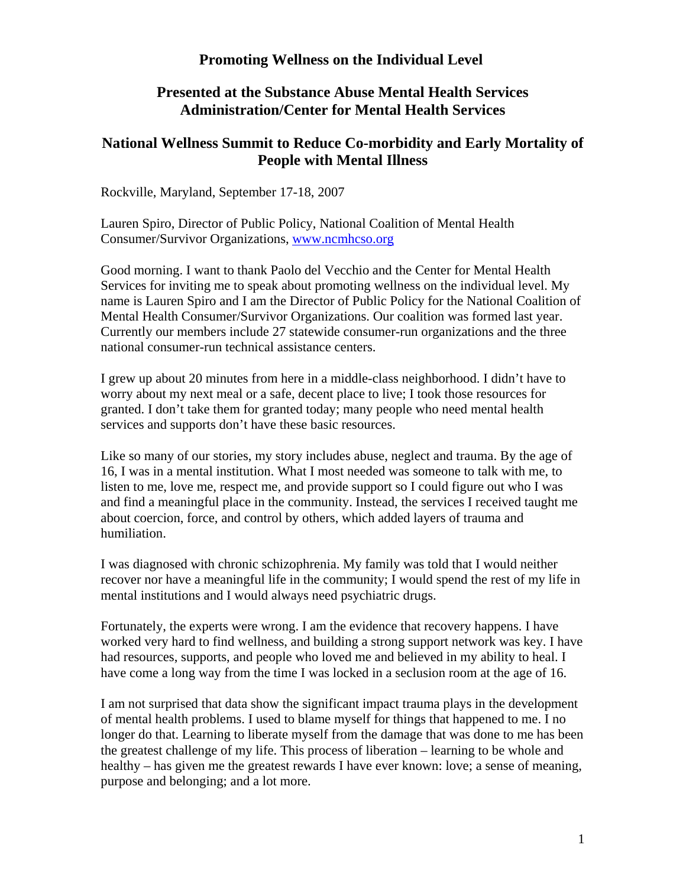# **Promoting Wellness on the Individual Level**

## **Presented at the Substance Abuse Mental Health Services Administration/Center for Mental Health Services**

# **National Wellness Summit to Reduce Co-morbidity and Early Mortality of People with Mental Illness**

Rockville, Maryland, September 17-18, 2007

Lauren Spiro, Director of Public Policy, National Coalition of Mental Health Consumer/Survivor Organizations, [www.ncmhcso.org](http://www.ncmhcso.org/) 

Good morning. I want to thank Paolo del Vecchio and the Center for Mental Health Services for inviting me to speak about promoting wellness on the individual level. My name is Lauren Spiro and I am the Director of Public Policy for the National Coalition of Mental Health Consumer/Survivor Organizations. Our coalition was formed last year. Currently our members include 27 statewide consumer-run organizations and the three national consumer-run technical assistance centers.

I grew up about 20 minutes from here in a middle-class neighborhood. I didn't have to worry about my next meal or a safe, decent place to live; I took those resources for granted. I don't take them for granted today; many people who need mental health services and supports don't have these basic resources.

Like so many of our stories, my story includes abuse, neglect and trauma. By the age of 16, I was in a mental institution. What I most needed was someone to talk with me, to listen to me, love me, respect me, and provide support so I could figure out who I was and find a meaningful place in the community. Instead, the services I received taught me about coercion, force, and control by others, which added layers of trauma and humiliation.

I was diagnosed with chronic schizophrenia. My family was told that I would neither recover nor have a meaningful life in the community; I would spend the rest of my life in mental institutions and I would always need psychiatric drugs.

Fortunately, the experts were wrong. I am the evidence that recovery happens. I have worked very hard to find wellness, and building a strong support network was key. I have had resources, supports, and people who loved me and believed in my ability to heal. I have come a long way from the time I was locked in a seclusion room at the age of 16.

I am not surprised that data show the significant impact trauma plays in the development of mental health problems. I used to blame myself for things that happened to me. I no longer do that. Learning to liberate myself from the damage that was done to me has been the greatest challenge of my life. This process of liberation – learning to be whole and healthy – has given me the greatest rewards I have ever known: love; a sense of meaning, purpose and belonging; and a lot more.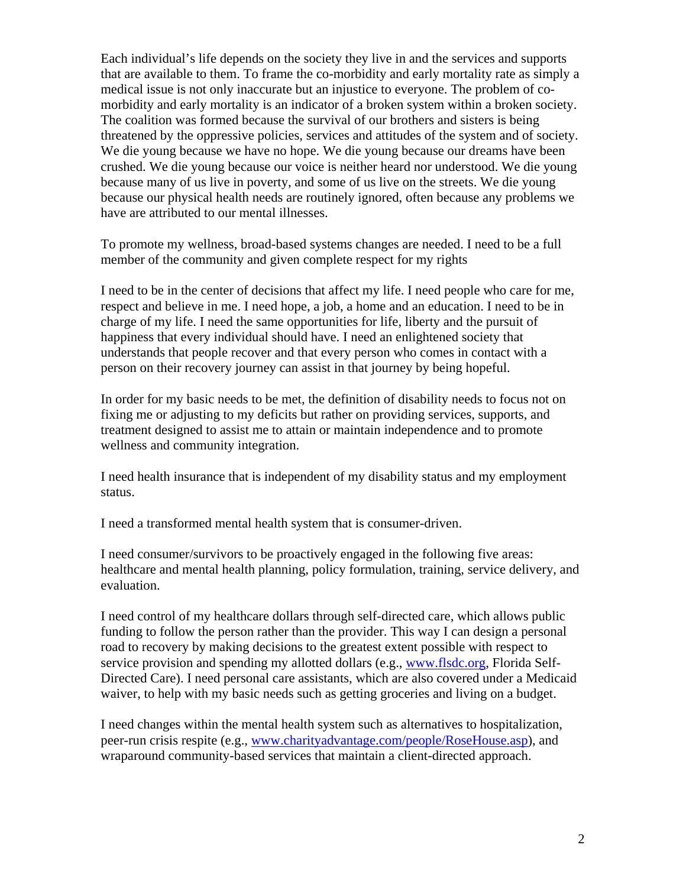Each individual's life depends on the society they live in and the services and supports that are available to them. To frame the co-morbidity and early mortality rate as simply a medical issue is not only inaccurate but an injustice to everyone. The problem of comorbidity and early mortality is an indicator of a broken system within a broken society. The coalition was formed because the survival of our brothers and sisters is being threatened by the oppressive policies, services and attitudes of the system and of society. We die young because we have no hope. We die young because our dreams have been crushed. We die young because our voice is neither heard nor understood. We die young because many of us live in poverty, and some of us live on the streets. We die young because our physical health needs are routinely ignored, often because any problems we have are attributed to our mental illnesses.

To promote my wellness, broad-based systems changes are needed. I need to be a full member of the community and given complete respect for my rights

I need to be in the center of decisions that affect my life. I need people who care for me, respect and believe in me. I need hope, a job, a home and an education. I need to be in charge of my life. I need the same opportunities for life, liberty and the pursuit of happiness that every individual should have. I need an enlightened society that understands that people recover and that every person who comes in contact with a person on their recovery journey can assist in that journey by being hopeful.

In order for my basic needs to be met, the definition of disability needs to focus not on fixing me or adjusting to my deficits but rather on providing services, supports, and treatment designed to assist me to attain or maintain independence and to promote wellness and community integration.

I need health insurance that is independent of my disability status and my employment status.

I need a transformed mental health system that is consumer-driven.

I need consumer/survivors to be proactively engaged in the following five areas: healthcare and mental health planning, policy formulation, training, service delivery, and evaluation.

I need control of my healthcare dollars through self-directed care, which allows public funding to follow the person rather than the provider. This way I can design a personal road to recovery by making decisions to the greatest extent possible with respect to service provision and spending my allotted dollars (e.g., [www.flsdc.org,](http://www.flsdc.org/) Florida Self-Directed Care). I need personal care assistants, which are also covered under a Medicaid waiver, to help with my basic needs such as getting groceries and living on a budget.

I need changes within the mental health system such as alternatives to hospitalization, peer-run crisis respite (e.g., [www.charityadvantage.com/people/RoseHouse.asp](http://www.charityadvantage.com/people/RoseHouse.asp)), and wraparound community-based services that maintain a client-directed approach.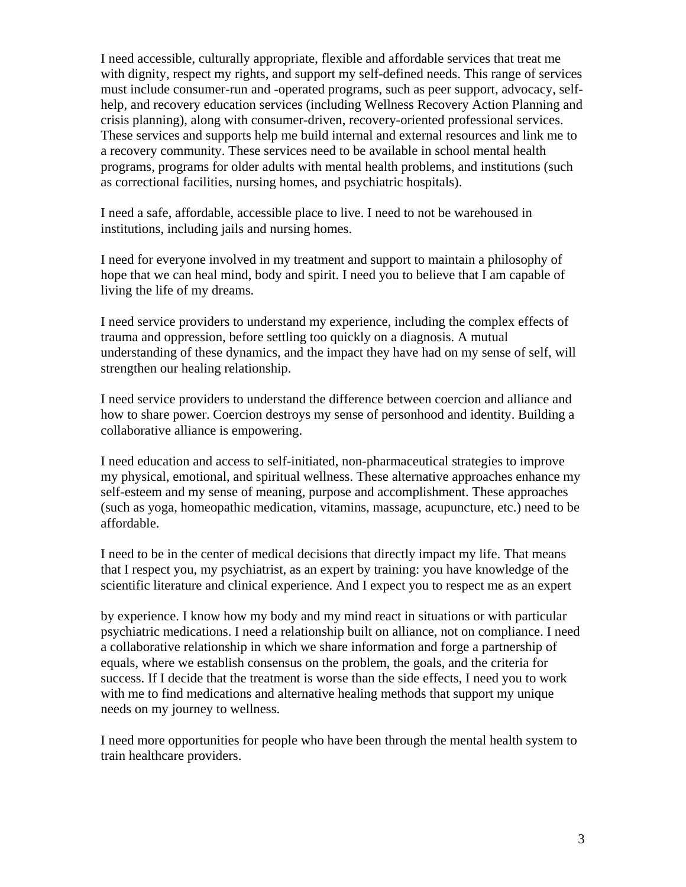I need accessible, culturally appropriate, flexible and affordable services that treat me with dignity, respect my rights, and support my self-defined needs. This range of services must include consumer-run and -operated programs, such as peer support, advocacy, selfhelp, and recovery education services (including Wellness Recovery Action Planning and crisis planning), along with consumer-driven, recovery-oriented professional services. These services and supports help me build internal and external resources and link me to a recovery community. These services need to be available in school mental health programs, programs for older adults with mental health problems, and institutions (such as correctional facilities, nursing homes, and psychiatric hospitals).

I need a safe, affordable, accessible place to live. I need to not be warehoused in institutions, including jails and nursing homes.

I need for everyone involved in my treatment and support to maintain a philosophy of hope that we can heal mind, body and spirit. I need you to believe that I am capable of living the life of my dreams.

I need service providers to understand my experience, including the complex effects of trauma and oppression, before settling too quickly on a diagnosis. A mutual understanding of these dynamics, and the impact they have had on my sense of self, will strengthen our healing relationship.

I need service providers to understand the difference between coercion and alliance and how to share power. Coercion destroys my sense of personhood and identity. Building a collaborative alliance is empowering.

I need education and access to self-initiated, non-pharmaceutical strategies to improve my physical, emotional, and spiritual wellness. These alternative approaches enhance my self-esteem and my sense of meaning, purpose and accomplishment. These approaches (such as yoga, homeopathic medication, vitamins, massage, acupuncture, etc.) need to be affordable.

I need to be in the center of medical decisions that directly impact my life. That means that I respect you, my psychiatrist, as an expert by training: you have knowledge of the scientific literature and clinical experience. And I expect you to respect me as an expert

by experience. I know how my body and my mind react in situations or with particular psychiatric medications. I need a relationship built on alliance, not on compliance. I need a collaborative relationship in which we share information and forge a partnership of equals, where we establish consensus on the problem, the goals, and the criteria for success. If I decide that the treatment is worse than the side effects, I need you to work with me to find medications and alternative healing methods that support my unique needs on my journey to wellness.

I need more opportunities for people who have been through the mental health system to train healthcare providers.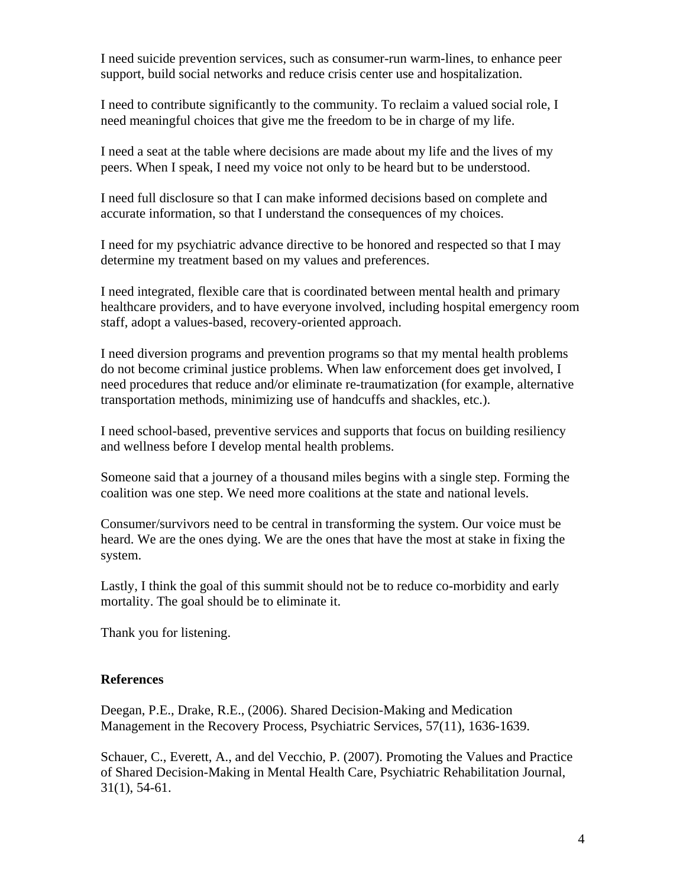I need suicide prevention services, such as consumer-run warm-lines, to enhance peer support, build social networks and reduce crisis center use and hospitalization.

I need to contribute significantly to the community. To reclaim a valued social role, I need meaningful choices that give me the freedom to be in charge of my life.

I need a seat at the table where decisions are made about my life and the lives of my peers. When I speak, I need my voice not only to be heard but to be understood.

I need full disclosure so that I can make informed decisions based on complete and accurate information, so that I understand the consequences of my choices.

I need for my psychiatric advance directive to be honored and respected so that I may determine my treatment based on my values and preferences.

I need integrated, flexible care that is coordinated between mental health and primary healthcare providers, and to have everyone involved, including hospital emergency room staff, adopt a values-based, recovery-oriented approach.

I need diversion programs and prevention programs so that my mental health problems do not become criminal justice problems. When law enforcement does get involved, I need procedures that reduce and/or eliminate re-traumatization (for example, alternative transportation methods, minimizing use of handcuffs and shackles, etc.).

I need school-based, preventive services and supports that focus on building resiliency and wellness before I develop mental health problems.

Someone said that a journey of a thousand miles begins with a single step. Forming the coalition was one step. We need more coalitions at the state and national levels.

Consumer/survivors need to be central in transforming the system. Our voice must be heard. We are the ones dying. We are the ones that have the most at stake in fixing the system.

Lastly, I think the goal of this summit should not be to reduce co-morbidity and early mortality. The goal should be to eliminate it.

Thank you for listening.

#### **References**

Deegan, P.E., Drake, R.E., (2006). Shared Decision-Making and Medication Management in the Recovery Process, Psychiatric Services, 57(11), 1636-1639.

Schauer, C., Everett, A., and del Vecchio, P. (2007). Promoting the Values and Practice of Shared Decision-Making in Mental Health Care, Psychiatric Rehabilitation Journal, 31(1), 54-61.